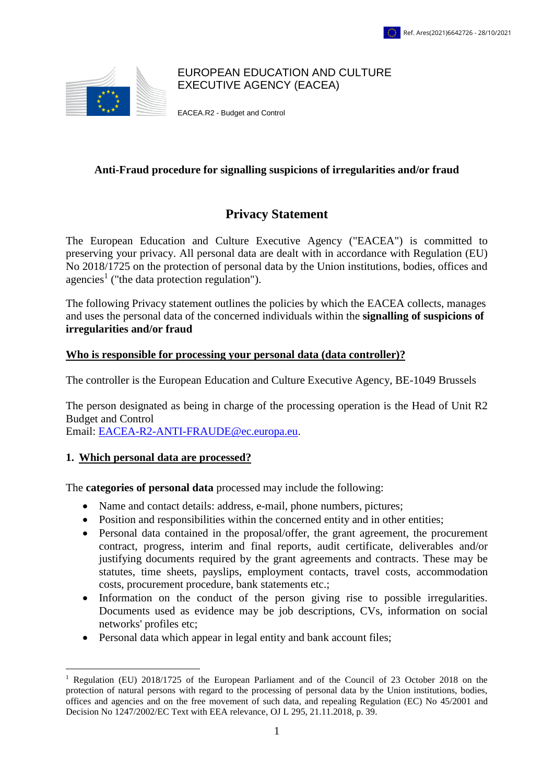

#### EUROPEAN EDUCATION AND CULTURE EXECUTIVE AGENCY (EACEA)

EACEA.R2 - Budget and Control

# **Anti-Fraud procedure for signalling suspicions of irregularities and/or fraud**

# **Privacy Statement**

The European Education and Culture Executive Agency ("EACEA") is committed to preserving your privacy. All personal data are dealt with in accordance with Regulation (EU) No 2018/1725 on the protection of personal data by the Union institutions, bodies, offices and agencies<sup>1</sup> ("the data protection regulation").

The following Privacy statement outlines the policies by which the EACEA collects, manages and uses the personal data of the concerned individuals within the **signalling of suspicions of irregularities and/or fraud**

# **Who is responsible for processing your personal data (data controller)?**

The controller is the European Education and Culture Executive Agency, BE-1049 Brussels

The person designated as being in charge of the processing operation is the Head of Unit R2 Budget and Control

Email: [EACEA-R2-ANTI-FRAUDE@ec.europa.eu.](mailto:EACEA-R2-ANTI-FRAUDE@ec.europa.eu)

# **1. Which personal data are processed?**

The **categories of personal data** processed may include the following:

- Name and contact details: address, e-mail, phone numbers, pictures;
- Position and responsibilities within the concerned entity and in other entities;
- Personal data contained in the proposal/offer, the grant agreement, the procurement contract, progress, interim and final reports, audit certificate, deliverables and/or justifying documents required by the grant agreements and contracts. These may be statutes, time sheets, payslips, employment contacts, travel costs, accommodation costs, procurement procedure, bank statements etc.;
- Information on the conduct of the person giving rise to possible irregularities. Documents used as evidence may be job descriptions, CVs, information on social networks' profiles etc;
- Personal data which appear in legal entity and bank account files;

<sup>&</sup>lt;u>.</u> <sup>1</sup> Regulation (EU) 2018/1725 of the European Parliament and of the Council of 23 October 2018 on the protection of natural persons with regard to the processing of personal data by the Union institutions, bodies, offices and agencies and on the free movement of such data, and repealing Regulation (EC) No 45/2001 and Decision No 1247/2002/EC Text with EEA relevance, OJ L 295, 21.11.2018, p. 39*.*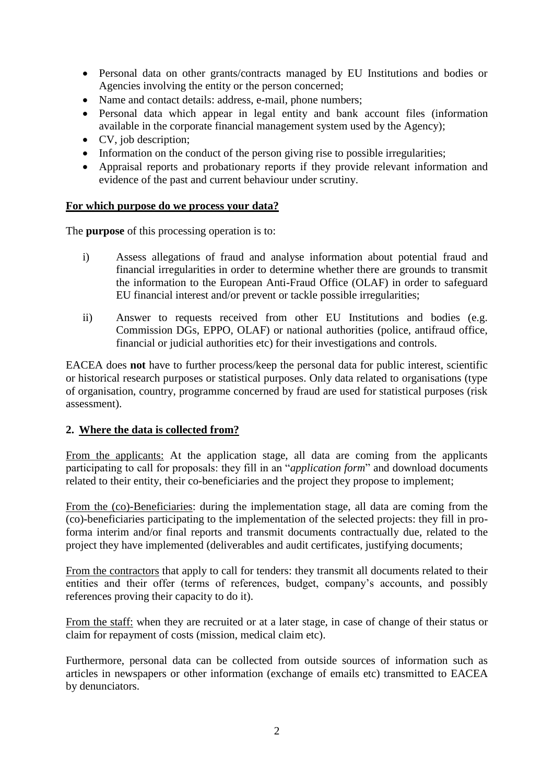- Personal data on other grants/contracts managed by EU Institutions and bodies or Agencies involving the entity or the person concerned;
- Name and contact details: address, e-mail, phone numbers;
- Personal data which appear in legal entity and bank account files (information available in the corporate financial management system used by the Agency);
- CV, job description;
- Information on the conduct of the person giving rise to possible irregularities;
- Appraisal reports and probationary reports if they provide relevant information and evidence of the past and current behaviour under scrutiny.

#### **For which purpose do we process your data?**

The **purpose** of this processing operation is to:

- i) Assess allegations of fraud and analyse information about potential fraud and financial irregularities in order to determine whether there are grounds to transmit the information to the European Anti-Fraud Office (OLAF) in order to safeguard EU financial interest and/or prevent or tackle possible irregularities;
- ii) Answer to requests received from other EU Institutions and bodies (e.g. Commission DGs, EPPO, OLAF) or national authorities (police, antifraud office, financial or judicial authorities etc) for their investigations and controls.

EACEA does **not** have to further process/keep the personal data for public interest, scientific or historical research purposes or statistical purposes. Only data related to organisations (type of organisation, country, programme concerned by fraud are used for statistical purposes (risk assessment).

# **2. Where the data is collected from?**

From the applicants: At the application stage, all data are coming from the applicants participating to call for proposals: they fill in an "*application form*" and download documents related to their entity, their co-beneficiaries and the project they propose to implement;

From the (co)-Beneficiaries: during the implementation stage, all data are coming from the (co)-beneficiaries participating to the implementation of the selected projects: they fill in proforma interim and/or final reports and transmit documents contractually due, related to the project they have implemented (deliverables and audit certificates, justifying documents;

From the contractors that apply to call for tenders: they transmit all documents related to their entities and their offer (terms of references, budget, company's accounts, and possibly references proving their capacity to do it).

From the staff: when they are recruited or at a later stage, in case of change of their status or claim for repayment of costs (mission, medical claim etc).

Furthermore, personal data can be collected from outside sources of information such as articles in newspapers or other information (exchange of emails etc) transmitted to EACEA by denunciators.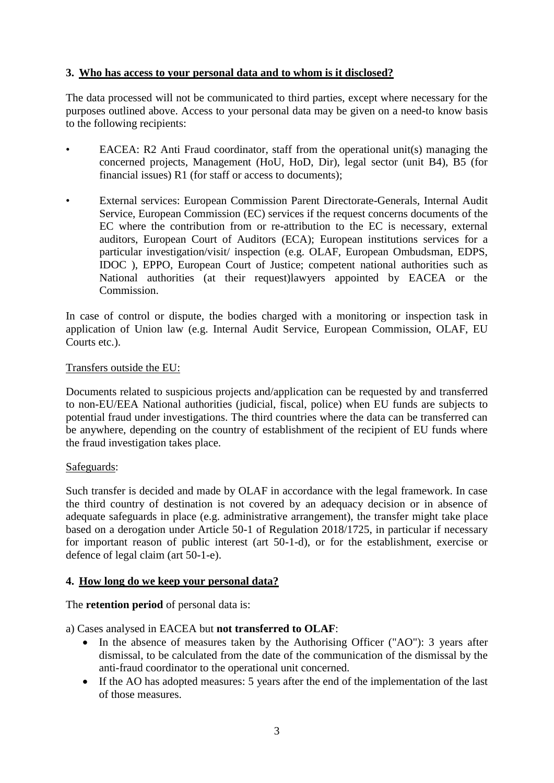# **3. Who has access to your personal data and to whom is it disclosed?**

The data processed will not be communicated to third parties, except where necessary for the purposes outlined above. Access to your personal data may be given on a need-to know basis to the following recipients:

- EACEA: R2 Anti Fraud coordinator, staff from the operational unit(s) managing the concerned projects, Management (HoU, HoD, Dir), legal sector (unit B4), B5 (for financial issues) R1 (for staff or access to documents);
- External services: European Commission Parent Directorate-Generals, Internal Audit Service, European Commission (EC) services if the request concerns documents of the EC where the contribution from or re-attribution to the EC is necessary, external auditors, European Court of Auditors (ECA); European institutions services for a particular investigation/visit/ inspection (e.g. OLAF, European Ombudsman, EDPS, IDOC ), EPPO, European Court of Justice; competent national authorities such as National authorities (at their request)lawyers appointed by EACEA or the Commission.

In case of control or dispute, the bodies charged with a monitoring or inspection task in application of Union law (e.g. Internal Audit Service, European Commission, OLAF, EU Courts etc.).

#### Transfers outside the EU:

Documents related to suspicious projects and/application can be requested by and transferred to non-EU/EEA National authorities (judicial, fiscal, police) when EU funds are subjects to potential fraud under investigations. The third countries where the data can be transferred can be anywhere, depending on the country of establishment of the recipient of EU funds where the fraud investigation takes place.

# Safeguards:

Such transfer is decided and made by OLAF in accordance with the legal framework. In case the third country of destination is not covered by an adequacy decision or in absence of adequate safeguards in place (e.g. administrative arrangement), the transfer might take place based on a derogation under Article 50-1 of Regulation 2018/1725, in particular if necessary for important reason of public interest (art 50-1-d), or for the establishment, exercise or defence of legal claim (art 50-1-e).

# **4. How long do we keep your personal data?**

The **retention period** of personal data is:

a) Cases analysed in EACEA but **not transferred to OLAF**:

- In the absence of measures taken by the Authorising Officer ("AO"): 3 years after dismissal, to be calculated from the date of the communication of the dismissal by the anti-fraud coordinator to the operational unit concerned.
- If the AO has adopted measures: 5 years after the end of the implementation of the last of those measures.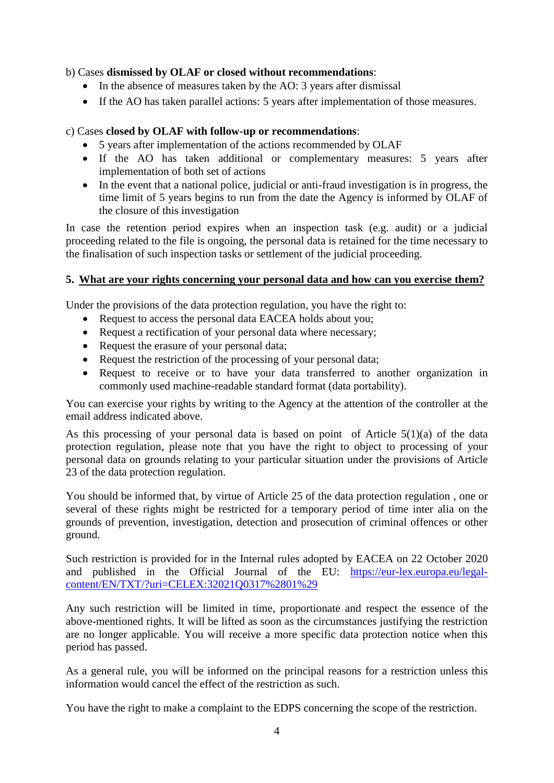# b) Cases **dismissed by OLAF or closed without recommendations**:

- In the absence of measures taken by the AO: 3 years after dismissal
- If the AO has taken parallel actions: 5 years after implementation of those measures.

# c) Cases **closed by OLAF with follow-up or recommendations**:

- 5 years after implementation of the actions recommended by OLAF
- If the AO has taken additional or complementary measures: 5 years after implementation of both set of actions
- In the event that a national police, judicial or anti-fraud investigation is in progress, the time limit of 5 years begins to run from the date the Agency is informed by OLAF of the closure of this investigation

In case the retention period expires when an inspection task (e.g. audit) or a judicial proceeding related to the file is ongoing, the personal data is retained for the time necessary to the finalisation of such inspection tasks or settlement of the judicial proceeding.

# **5. What are your rights concerning your personal data and how can you exercise them?**

Under the provisions of the data protection regulation, you have the right to:

- Request to access the personal data EACEA holds about you;
- Request a rectification of your personal data where necessary;
- Request the erasure of your personal data;
- Request the restriction of the processing of your personal data;
- Request to receive or to have your data transferred to another organization in commonly used machine-readable standard format (data portability).

You can exercise your rights by writing to the Agency at the attention of the controller at the email address indicated above.

As this processing of your personal data is based on point of Article 5(1)(a) of the data protection regulation, please note that you have the right to object to processing of your personal data on grounds relating to your particular situation under the provisions of Article 23 of the data protection regulation.

You should be informed that, by virtue of Article 25 of the data protection regulation , one or several of these rights might be restricted for a temporary period of time inter alia on the grounds of prevention, investigation, detection and prosecution of criminal offences or other ground.

Such restriction is provided for in the Internal rules adopted by EACEA on 22 October 2020 and published in the Official Journal of the EU: [https://eur-lex.europa.eu/legal](https://eur-lex.europa.eu/legal-content/EN/TXT/?uri=CELEX:32021Q0317%2801%29)[content/EN/TXT/?uri=CELEX:32021Q0317%2801%29](https://eur-lex.europa.eu/legal-content/EN/TXT/?uri=CELEX:32021Q0317%2801%29)

Any such restriction will be limited in time, proportionate and respect the essence of the above-mentioned rights. It will be lifted as soon as the circumstances justifying the restriction are no longer applicable. You will receive a more specific data protection notice when this period has passed.

As a general rule, you will be informed on the principal reasons for a restriction unless this information would cancel the effect of the restriction as such.

You have the right to make a complaint to the EDPS concerning the scope of the restriction.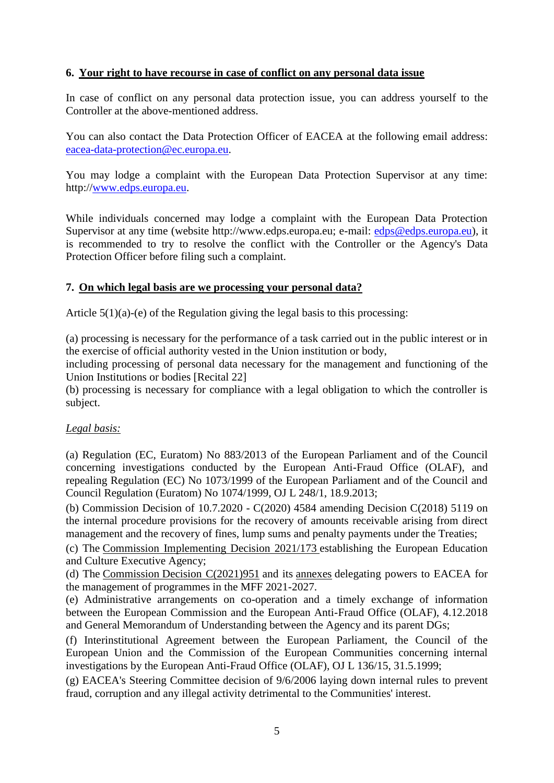#### **6. Your right to have recourse in case of conflict on any personal data issue**

In case of conflict on any personal data protection issue, you can address yourself to the Controller at the above-mentioned address.

You can also contact the Data Protection Officer of EACEA at the following email address: [eacea-data-protection@ec.europa.eu.](mailto:eacea-data-protection@ec.europa.eu)

You may lodge a complaint with the European Data Protection Supervisor at any time: http:/[/www.edps.europa.eu.](http://www.edps.europa.eu/)

While individuals concerned may lodge a complaint with the European Data Protection Supervisor at any time (website http://www.edps.europa.eu; e-mail: [edps@edps.europa.eu\)](mailto:edps@edps.europa.eu), it is recommended to try to resolve the conflict with the Controller or the Agency's Data Protection Officer before filing such a complaint.

#### **7. On which legal basis are we processing your personal data?**

Article 5(1)(a)-(e) of the Regulation giving the legal basis to this processing:

(a) processing is necessary for the performance of a task carried out in the public interest or in the exercise of official authority vested in the Union institution or body,

including processing of personal data necessary for the management and functioning of the Union Institutions or bodies [Recital 22]

(b) processing is necessary for compliance with a legal obligation to which the controller is subject.

#### *Legal basis:*

(a) Regulation (EC, Euratom) No 883/2013 of the European Parliament and of the Council concerning investigations conducted by the European Anti-Fraud Office (OLAF), and repealing Regulation (EC) No 1073/1999 of the European Parliament and of the Council and Council Regulation (Euratom) No 1074/1999, OJ L 248/1, 18.9.2013;

(b) Commission Decision of 10.7.2020 - C(2020) 4584 amending Decision C(2018) 5119 on the internal procedure provisions for the recovery of amounts receivable arising from direct management and the recovery of fines, lump sums and penalty payments under the Treaties;

(c) The [Commission Implementing Decision 2021/173](https://myintracomm.ec.europa.eu/dg/eacea/eacea/about/Documents/Governance/Establishment%20Act%202021_173.pdf) establishing the European Education and Culture Executive Agency;

(d) The [Commission](https://myintracomm.ec.europa.eu/dg/eacea/eacea/about/Documents/Governance/Delegation%20Act%20C%282021%29951%20final.pdf) [Decision C\(2021\)951](https://myintracomm.ec.europa.eu/dg/eacea/eacea/about/Documents/Governance/Delegation%20Act%20C%282021%29951%20final.pdf) and its [annexes](https://myintracomm.ec.europa.eu/dg/eacea/eacea/about/Documents/Governance/Annex_Delegation%20Act%20C%282021%29951%20final.pdf) delegating powers to EACEA for the management of programmes in the MFF 2021-2027.

(e) Administrative arrangements on co-operation and a timely exchange of information between the European Commission and the European Anti-Fraud Office (OLAF), 4.12.2018 and General Memorandum of Understanding between the Agency and its parent DGs;

(f) Interinstitutional Agreement between the European Parliament, the Council of the European Union and the Commission of the European Communities concerning internal investigations by the European Anti-Fraud Office (OLAF), OJ L 136/15, 31.5.1999;

(g) EACEA's Steering Committee decision of 9/6/2006 laying down internal rules to prevent fraud, corruption and any illegal activity detrimental to the Communities' interest.